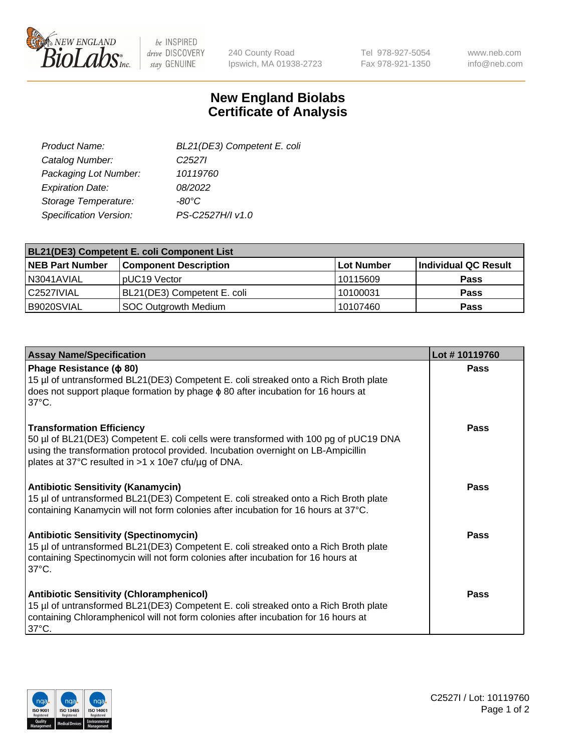

 $be$  INSPIRED drive DISCOVERY stay GENUINE

240 County Road Ipswich, MA 01938-2723 Tel 978-927-5054 Fax 978-921-1350

www.neb.com info@neb.com

## **New England Biolabs Certificate of Analysis**

| BL21(DE3) Competent E. coli |
|-----------------------------|
| C <sub>2527</sub>           |
| 10119760                    |
| 08/2022                     |
| $-80^{\circ}$ C             |
| PS-C2527H/I v1.0            |
|                             |

| <b>BL21(DE3) Competent E. coli Component List</b> |                              |             |                      |  |
|---------------------------------------------------|------------------------------|-------------|----------------------|--|
| <b>NEB Part Number</b>                            | <b>Component Description</b> | ∣Lot Number | Individual QC Result |  |
| N3041AVIAL                                        | DUC <sub>19</sub> Vector     | l 10115609  | <b>Pass</b>          |  |
| l C2527IVIAL                                      | BL21(DE3) Competent E. coli  | 10100031    | <b>Pass</b>          |  |
| B9020SVIAL                                        | SOC Outgrowth Medium         | 10107460    | <b>Pass</b>          |  |

| <b>Assay Name/Specification</b>                                                                                                                                                                                                                                      | Lot #10119760 |
|----------------------------------------------------------------------------------------------------------------------------------------------------------------------------------------------------------------------------------------------------------------------|---------------|
| Phage Resistance ( $\phi$ 80)<br>15 µl of untransformed BL21(DE3) Competent E. coli streaked onto a Rich Broth plate<br>does not support plaque formation by phage $\phi$ 80 after incubation for 16 hours at<br>$37^{\circ}$ C.                                     | <b>Pass</b>   |
| <b>Transformation Efficiency</b><br>50 µl of BL21(DE3) Competent E. coli cells were transformed with 100 pg of pUC19 DNA<br>using the transformation protocol provided. Incubation overnight on LB-Ampicillin<br>plates at 37°C resulted in >1 x 10e7 cfu/µg of DNA. | Pass          |
| <b>Antibiotic Sensitivity (Kanamycin)</b><br>15 µl of untransformed BL21(DE3) Competent E. coli streaked onto a Rich Broth plate<br>containing Kanamycin will not form colonies after incubation for 16 hours at 37°C.                                               | Pass          |
| <b>Antibiotic Sensitivity (Spectinomycin)</b><br>15 µl of untransformed BL21(DE3) Competent E. coli streaked onto a Rich Broth plate<br>containing Spectinomycin will not form colonies after incubation for 16 hours at<br>$37^{\circ}$ C.                          | <b>Pass</b>   |
| <b>Antibiotic Sensitivity (Chloramphenicol)</b><br>15 µl of untransformed BL21(DE3) Competent E. coli streaked onto a Rich Broth plate<br>containing Chloramphenicol will not form colonies after incubation for 16 hours at<br>$37^{\circ}$ C.                      | Pass          |